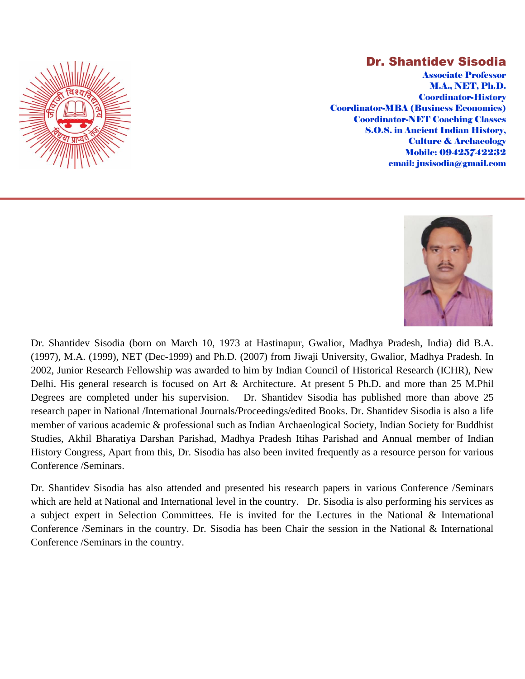

## Dr. Shantidev Sisodia

Associate Professor M.A., NET, Ph.D. Coordinator-History Coordinator-MBA (Business Economics) Coordinator-NET Coaching Classes S.O.S. in Ancient Indian History, Culture & Archaeology Mobile: 09425742232 email: jusisodia@gmail.com



Dr. Shantidev Sisodia (born on March 10, 1973 at Hastinapur, Gwalior, Madhya Pradesh, India) did B.A. (1997), M.A. (1999), NET (Dec-1999) and Ph.D. (2007) from Jiwaji University, Gwalior, Madhya Pradesh. In 2002, Junior Research Fellowship was awarded to him by Indian Council of Historical Research (ICHR), New Delhi. His general research is focused on Art & Architecture. At present 5 Ph.D. and more than 25 M.Phil Degrees are completed under his supervision. Dr. Shantidev Sisodia has published more than above 25 research paper in National /International Journals/Proceedings/edited Books. Dr. Shantidev Sisodia is also a life member of various academic & professional such as Indian Archaeological Society, Indian Society for Buddhist Studies, Akhil Bharatiya Darshan Parishad, Madhya Pradesh Itihas Parishad and Annual member of Indian History Congress, Apart from this, Dr. Sisodia has also been invited frequently as a resource person for various Conference /Seminars.

Dr. Shantidev Sisodia has also attended and presented his research papers in various Conference /Seminars which are held at National and International level in the country. Dr. Sisodia is also performing his services as a subject expert in Selection Committees. He is invited for the Lectures in the National & International Conference /Seminars in the country. Dr. Sisodia has been Chair the session in the National & International Conference /Seminars in the country.